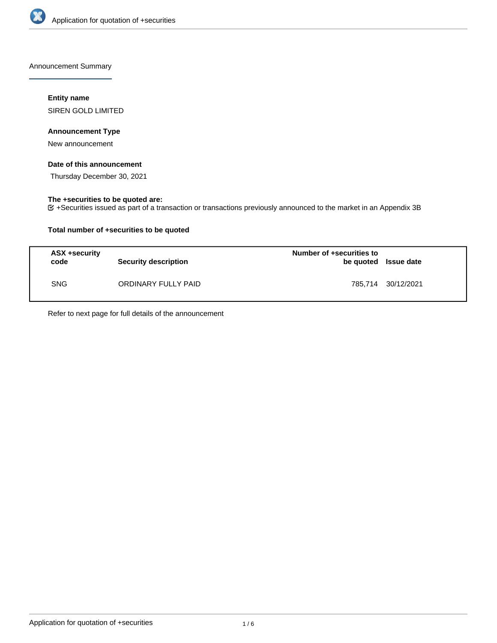

Announcement Summary

## **Entity name**

SIREN GOLD LIMITED

### **Announcement Type**

New announcement

### **Date of this announcement**

Thursday December 30, 2021

## **The +securities to be quoted are:**

+Securities issued as part of a transaction or transactions previously announced to the market in an Appendix 3B

## **Total number of +securities to be quoted**

| ASX +security<br>code | <b>Security description</b> | Number of +securities to<br>be quoted Issue date |                    |
|-----------------------|-----------------------------|--------------------------------------------------|--------------------|
| <b>SNG</b>            | ORDINARY FULLY PAID         |                                                  | 785.714 30/12/2021 |

Refer to next page for full details of the announcement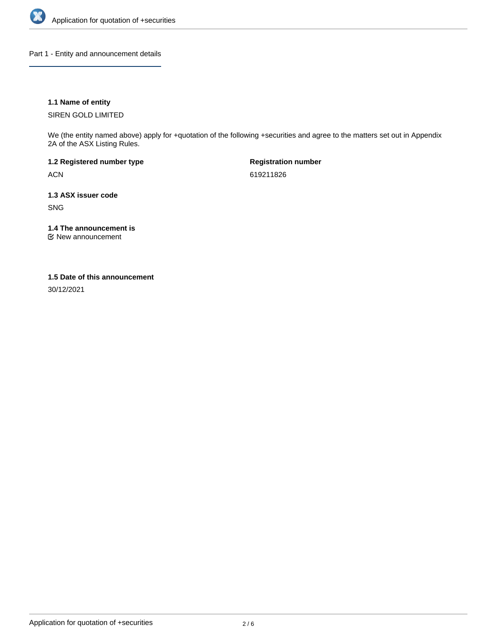

Part 1 - Entity and announcement details

## **1.1 Name of entity**

SIREN GOLD LIMITED

We (the entity named above) apply for +quotation of the following +securities and agree to the matters set out in Appendix 2A of the ASX Listing Rules.

**1.2 Registered number type** ACN

**Registration number** 619211826

**1.3 ASX issuer code** SNG

**1.4 The announcement is**

New announcement

#### **1.5 Date of this announcement**

30/12/2021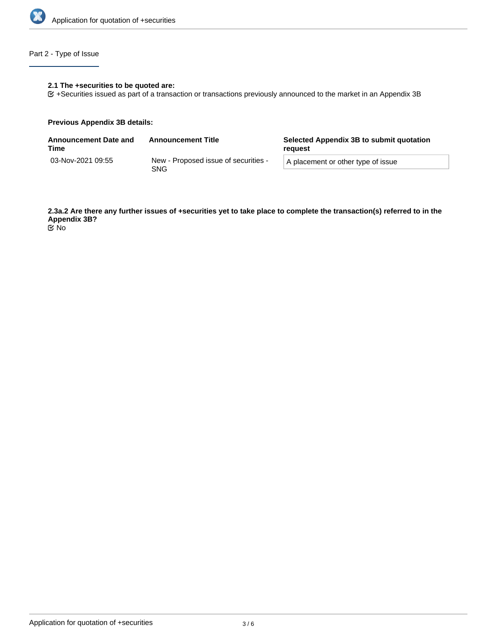

# Part 2 - Type of Issue

## **2.1 The +securities to be quoted are:**

+Securities issued as part of a transaction or transactions previously announced to the market in an Appendix 3B

#### **Previous Appendix 3B details:**

| <b>Announcement Date and</b><br>Time | <b>Announcement Title</b>                   | Selected Appendix 3B to submit quotation<br>reauest |  |
|--------------------------------------|---------------------------------------------|-----------------------------------------------------|--|
| 03-Nov-2021 09:55                    | New - Proposed issue of securities -<br>SNG | A placement or other type of issue                  |  |

**2.3a.2 Are there any further issues of +securities yet to take place to complete the transaction(s) referred to in the Appendix 3B?** No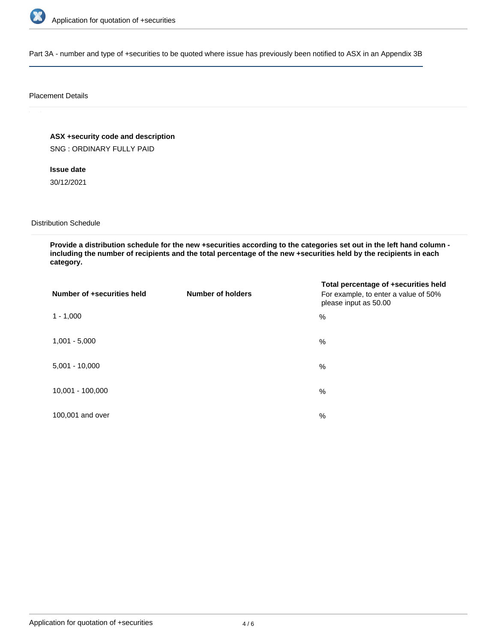

Part 3A - number and type of +securities to be quoted where issue has previously been notified to ASX in an Appendix 3B

#### Placement Details

**ASX +security code and description** SNG : ORDINARY FULLY PAID

**Issue date** 30/12/2021

Distribution Schedule

**Provide a distribution schedule for the new +securities according to the categories set out in the left hand column including the number of recipients and the total percentage of the new +securities held by the recipients in each category.**

| Number of +securities held | <b>Number of holders</b> | Total percentage of +securities held<br>For example, to enter a value of 50%<br>please input as 50.00 |
|----------------------------|--------------------------|-------------------------------------------------------------------------------------------------------|
| $1 - 1,000$                |                          | %                                                                                                     |
| $1,001 - 5,000$            |                          | $\%$                                                                                                  |
| $5,001 - 10,000$           |                          | %                                                                                                     |
| 10,001 - 100,000           |                          | %                                                                                                     |
| 100,001 and over           |                          | %                                                                                                     |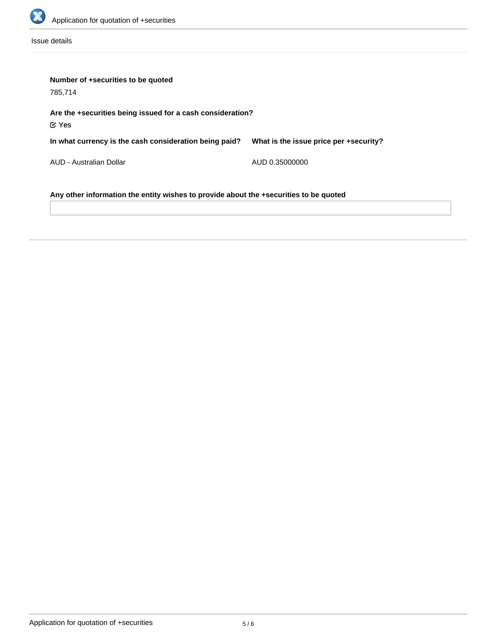

Issue details

| Number of +securities to be quoted<br>785,714                                         |                                        |  |  |  |
|---------------------------------------------------------------------------------------|----------------------------------------|--|--|--|
| Are the +securities being issued for a cash consideration?<br>$\mathfrak C$ Yes       |                                        |  |  |  |
| In what currency is the cash consideration being paid?                                | What is the issue price per +security? |  |  |  |
| AUD - Australian Dollar                                                               | AUD 0.35000000                         |  |  |  |
| Any other information the entity wishes to provide about the +securities to be quoted |                                        |  |  |  |